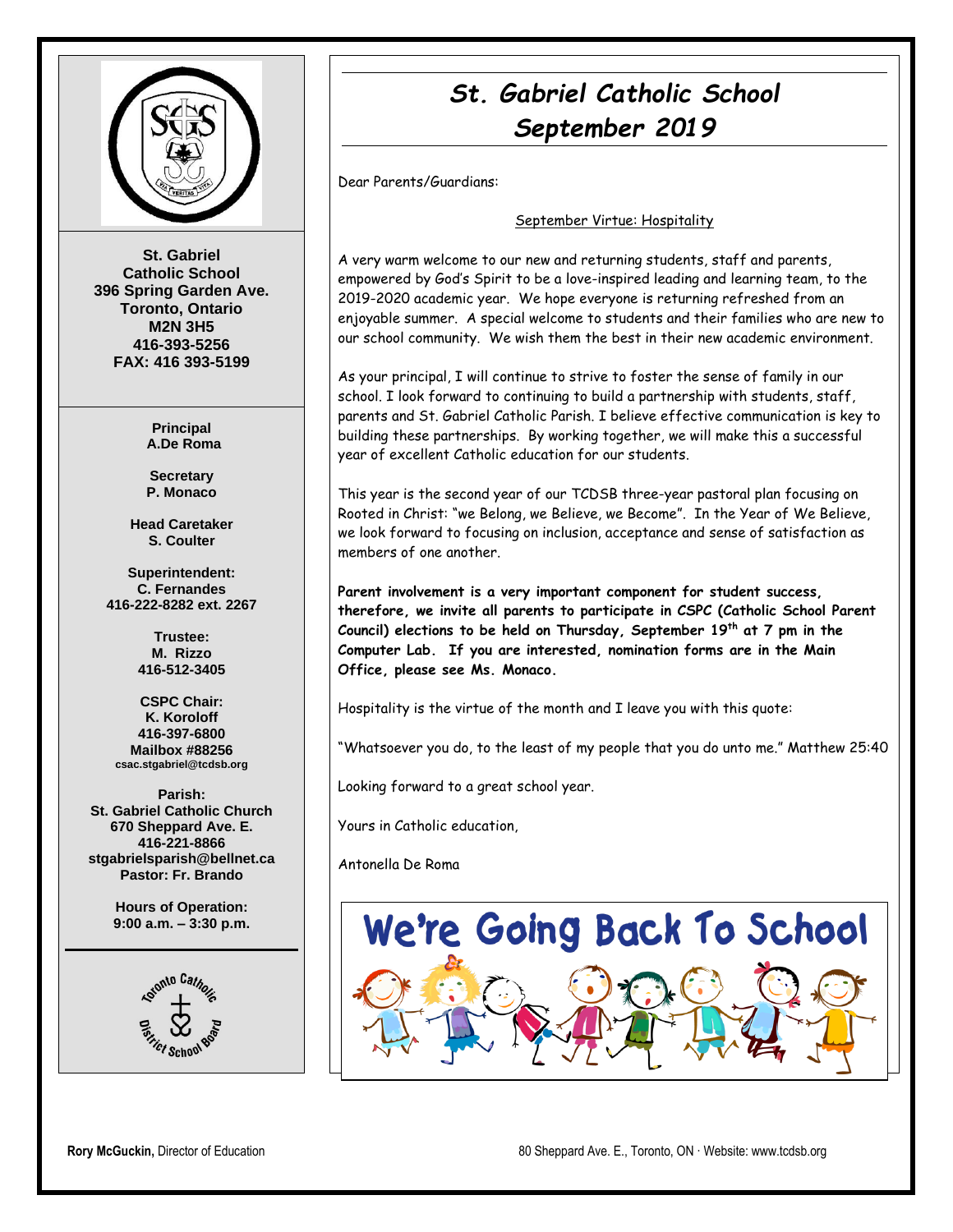

**St. Gabriel Catholic School 396 Spring Garden Ave. Toronto, Ontario M2N 3H5 416-393-5256 FAX: 416 393-5199**

> **Principal A.De Roma**

**Secretary P. Monaco**

**Head Caretaker S. Coulter**

**Superintendent: C. Fernandes 416-222-8282 ext. 2267**

> **Trustee: M. Rizzo 416-512-3405**

**CSPC Chair: K. Koroloff 416-397-6800 Mailbox #88256 csac.stgabriel@tcdsb.org**

**Parish: St. Gabriel Catholic Church 670 Sheppard Ave. E. 416-221-8866 stgabrielsparish@bellnet.ca Pastor: Fr. Brando**

> **Hours of Operation: 9:00 a.m. – 3:30 p.m.**



# *St. Gabriel Catholic School September 2019*

Dear Parents/Guardians:

#### September Virtue: Hospitality

A very warm welcome to our new and returning students, staff and parents, empowered by God's Spirit to be a love-inspired leading and learning team, to the 2019-2020 academic year. We hope everyone is returning refreshed from an enjoyable summer. A special welcome to students and their families who are new to our school community. We wish them the best in their new academic environment.

As your principal, I will continue to strive to foster the sense of family in our school. I look forward to continuing to build a partnership with students, staff, parents and St. Gabriel Catholic Parish. I believe effective communication is key to building these partnerships. By working together, we will make this a successful year of excellent Catholic education for our students.

This year is the second year of our TCDSB three-year pastoral plan focusing on Rooted in Christ: "we Belong, we Believe, we Become". In the Year of We Believe, we look forward to focusing on inclusion, acceptance and sense of satisfaction as members of one another.

**Parent involvement is a very important component for student success, therefore, we invite all parents to participate in CSPC (Catholic School Parent Council) elections to be held on Thursday, September 19th at 7 pm in the Computer Lab. If you are interested, nomination forms are in the Main Office, please see Ms. Monaco.**

Hospitality is the virtue of the month and I leave you with this quote:

"Whatsoever you do, to the least of my people that you do unto me." Matthew 25:40

Looking forward to a great school year.

Yours in Catholic education,

Antonella De Roma

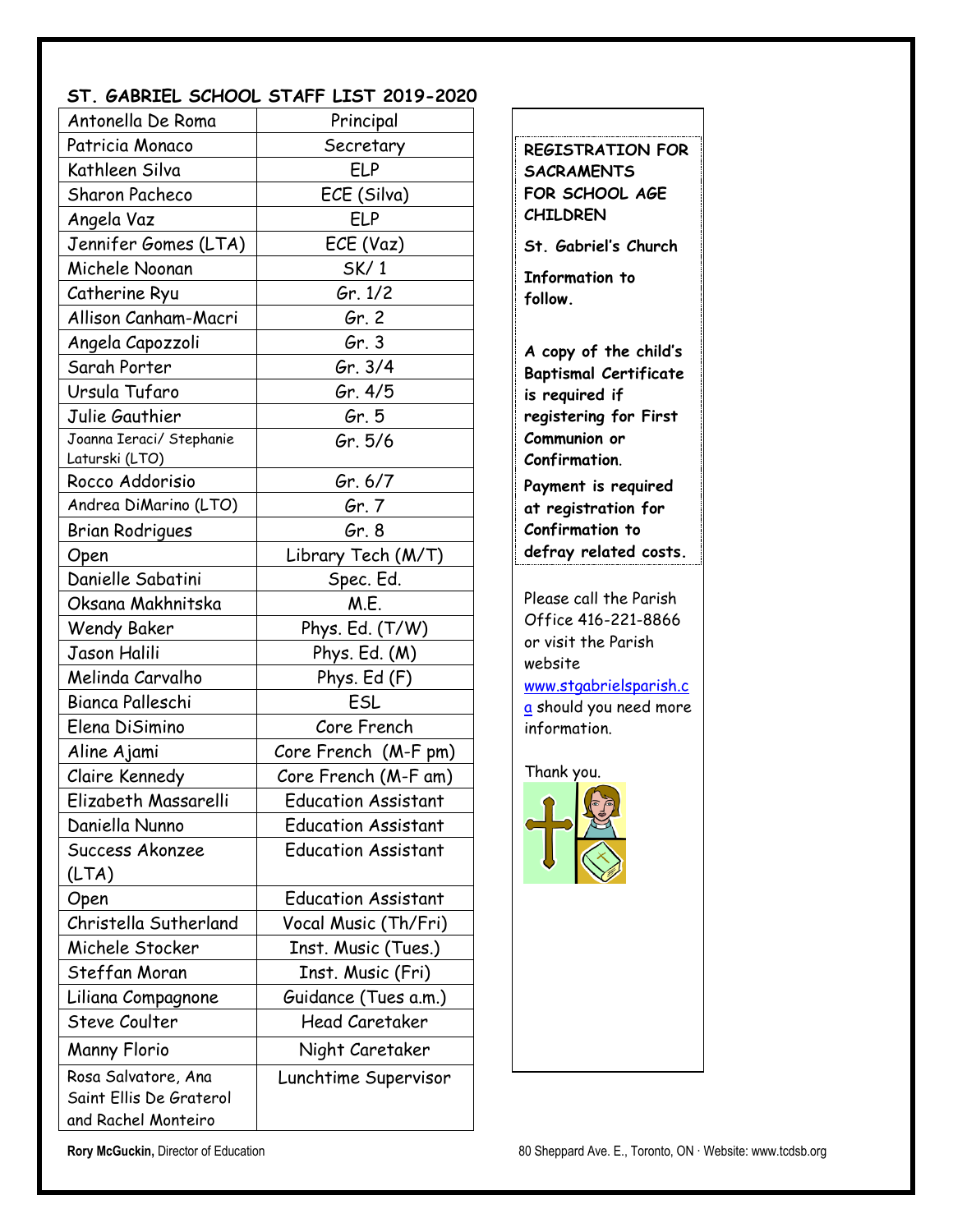#### **ST. GABRIEL SCHOOL STAFF LIST 2019-2020**

| Antonella De Roma                                                     | Principal                  |  |
|-----------------------------------------------------------------------|----------------------------|--|
| Patricia Monaco                                                       | Secretary                  |  |
| Kathleen Silva                                                        | <b>ELP</b>                 |  |
| <b>Sharon Pacheco</b>                                                 | ECE (Silva)                |  |
| Angela Vaz                                                            | ELP                        |  |
| Jennifer Gomes (LTA)                                                  | ECE (Vaz)                  |  |
| Michele Noonan                                                        | SK/1                       |  |
| Catherine Ryu                                                         | Gr. 1/2                    |  |
| Allison Canham-Macri                                                  | Gr. 2                      |  |
| Angela Capozzoli                                                      | Gr.3                       |  |
| Sarah Porter                                                          | Gr. 3/4                    |  |
| Ursula Tufaro                                                         | Gr. 4/5                    |  |
| Julie Gauthier                                                        | Gr. 5                      |  |
| Joanna Ieraci/ Stephanie<br>Laturski (LTO)                            | Gr. 5/6                    |  |
| Rocco Addorisio                                                       | Gr. 6/7                    |  |
| Andrea DiMarino (LTO)                                                 | Gr. 7                      |  |
| Brian Rodrigues                                                       | Gr. 8                      |  |
| Open                                                                  | Library Tech (M/T)         |  |
| Danielle Sabatini                                                     | Spec. Ed.                  |  |
| Oksana Makhnitska                                                     | M.E.                       |  |
| <b>Wendy Baker</b>                                                    | Phys. Ed. (T/W)            |  |
| Jason Halili                                                          | Phys. Ed. (M)              |  |
| Melinda Carvalho                                                      | Phys. Ed (F)               |  |
| Bianca Palleschi                                                      | ESL                        |  |
| Elena DiSimino                                                        | Core French                |  |
| Aline Ajami                                                           | Core French (M-F pm)       |  |
| Claire Kennedy                                                        | Core French (M-F am)       |  |
| Elizabeth Massarelli                                                  | Education Assistant        |  |
| Daniella Nunno                                                        | <b>Education Assistant</b> |  |
| Success Akonzee                                                       | <b>Education Assistant</b> |  |
| (LTA)                                                                 |                            |  |
| Open                                                                  | <b>Education Assistant</b> |  |
| Christella Sutherland                                                 | Vocal Music (Th/Fri)       |  |
| Michele Stocker                                                       | Inst. Music (Tues.)        |  |
| Steffan Moran                                                         | Inst. Music (Fri)          |  |
| Liliana Compagnone                                                    | Guidance (Tues a.m.)       |  |
| Steve Coulter                                                         | <b>Head Caretaker</b>      |  |
| Manny Florio                                                          | Night Caretaker            |  |
| Rosa Salvatore, Ana<br>Saint Ellis De Graterol<br>and Rachel Monteiro | Lunchtime Supervisor       |  |

**SACRAMENTS FOR SCHOOL AGE CHILDREN St. Gabriel's Church Information to follow. A copy of the child's Baptismal Certificate is required if registering for First Communion or Confirmation**. **Payment is required at registration for Confirmation to defray related costs.** Please call the Parish Office 416-221-8866 or visit the Parish website [www.stgabrielsparish.c](http://www.stgabrielsparish.ca/)

**REGISTRATION FOR** 

[a](http://www.stgabrielsparish.ca/) should you need more information.

Thank you.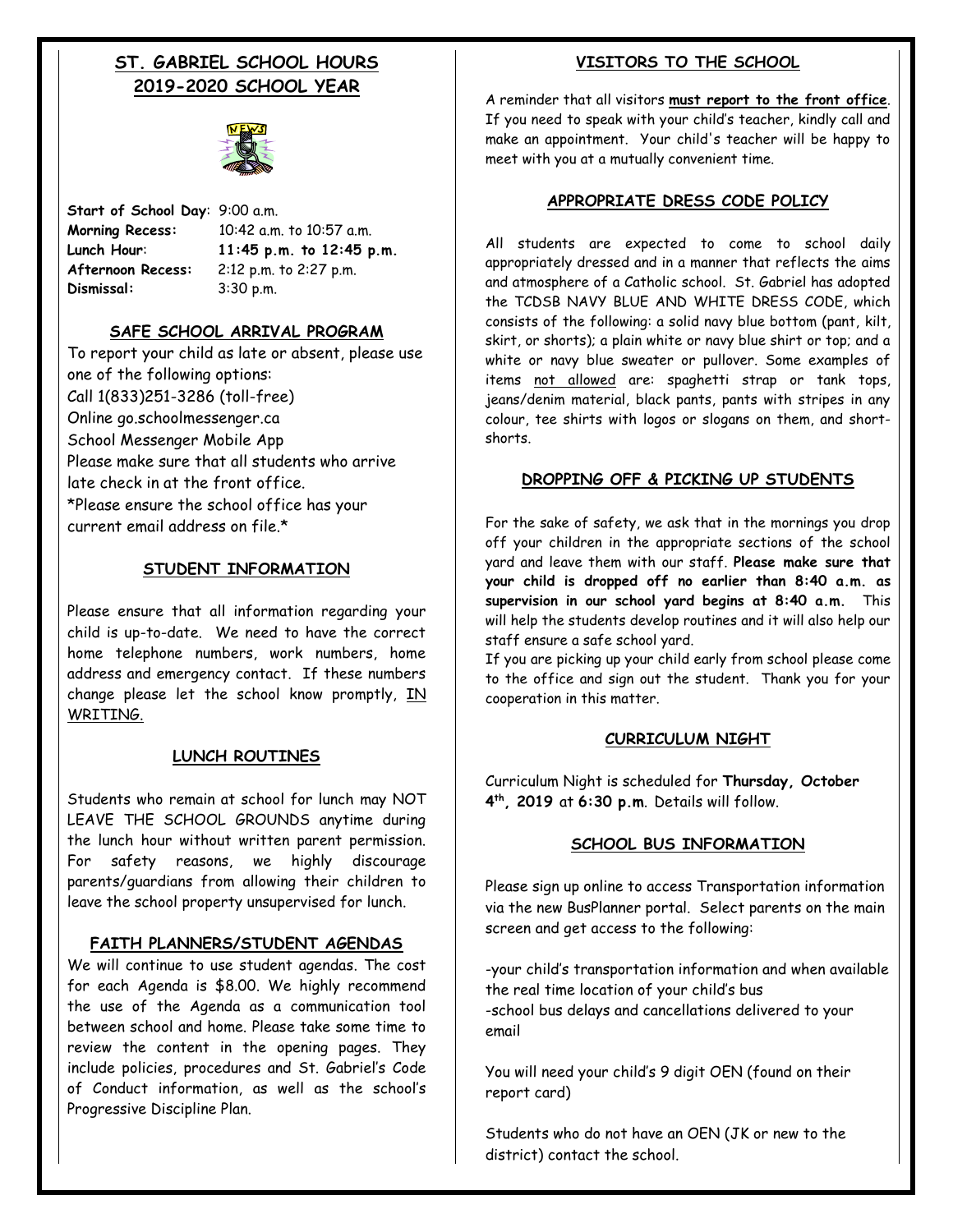### **ST. GABRIEL SCHOOL HOURS 2019-2020 SCHOOL YEAR**



**Start of School Day**: 9:00 a.m. **Afternoon Recess:** 2:12 p.m. to 2:27 p.m. **Dismissal:** 3:30 p.m.

**Morning Recess:** 10:42 a.m. to 10:57 a.m. **Lunch Hour**: **11:45 p.m. to 12:45 p.m.**

#### **SAFE SCHOOL ARRIVAL PROGRAM**

To report your child as late or absent, please use one of the following options: Call 1(833)251-3286 (toll-free) Online go.schoolmessenger.ca School Messenger Mobile App Please make sure that all students who arrive late check in at the front office. \*Please ensure the school office has your current email address on file<sup>\*</sup>

#### **STUDENT INFORMATION**

Please ensure that all information regarding your child is up-to-date. We need to have the correct home telephone numbers, work numbers, home address and emergency contact. If these numbers change please let the school know promptly,  $IN$ WRITING.

#### **LUNCH ROUTINES**

Students who remain at school for lunch may NOT LEAVE THE SCHOOL GROUNDS anytime during the lunch hour without written parent permission. For safety reasons, we highly discourage parents/guardians from allowing their children to leave the school property unsupervised for lunch.

#### **FAITH PLANNERS/STUDENT AGENDAS**

We will continue to use student agendas. The cost for each Agenda is \$8.00. We highly recommend the use of the Agenda as a communication tool between school and home. Please take some time to review the content in the opening pages. They include policies, procedures and St. Gabriel's Code of Conduct information, as well as the school's Progressive Discipline Plan.

#### **VISITORS TO THE SCHOOL**

A reminder that all visitors **must report to the front office**. If you need to speak with your child's teacher, kindly call and make an appointment. Your child's teacher will be happy to meet with you at a mutually convenient time.

#### **APPROPRIATE DRESS CODE POLICY**

All students are expected to come to school daily appropriately dressed and in a manner that reflects the aims and atmosphere of a Catholic school. St. Gabriel has adopted the TCDSB NAVY BLUE AND WHITE DRESS CODE, which consists of the following: a solid navy blue bottom (pant, kilt, skirt, or shorts); a plain white or navy blue shirt or top; and a white or navy blue sweater or pullover. Some examples of items not allowed are: spaghetti strap or tank tops, jeans/denim material, black pants, pants with stripes in any colour, tee shirts with logos or slogans on them, and shortshorts.

#### **DROPPING OFF & PICKING UP STUDENTS**

For the sake of safety, we ask that in the mornings you drop off your children in the appropriate sections of the school yard and leave them with our staff. **Please make sure that your child is dropped off no earlier than 8:40 a.m. as supervision in our school yard begins at 8:40 a.m.** This will help the students develop routines and it will also help our staff ensure a safe school yard.

If you are picking up your child early from school please come to the office and sign out the student. Thank you for your cooperation in this matter.

#### **CURRICULUM NIGHT**

Curriculum Night is scheduled for **Thursday, October 4 th , 2019** at **6:30 p.m**. Details will follow.

#### **SCHOOL BUS INFORMATION**

Please sign up online to access Transportation information via the new BusPlanner portal. Select parents on the main screen and get access to the following:

-your child's transportation information and when available the real time location of your child's bus -school bus delays and cancellations delivered to your email

You will need your child's 9 digit OEN (found on their report card)

Students who do not have an OEN (JK or new to the district) contact the school.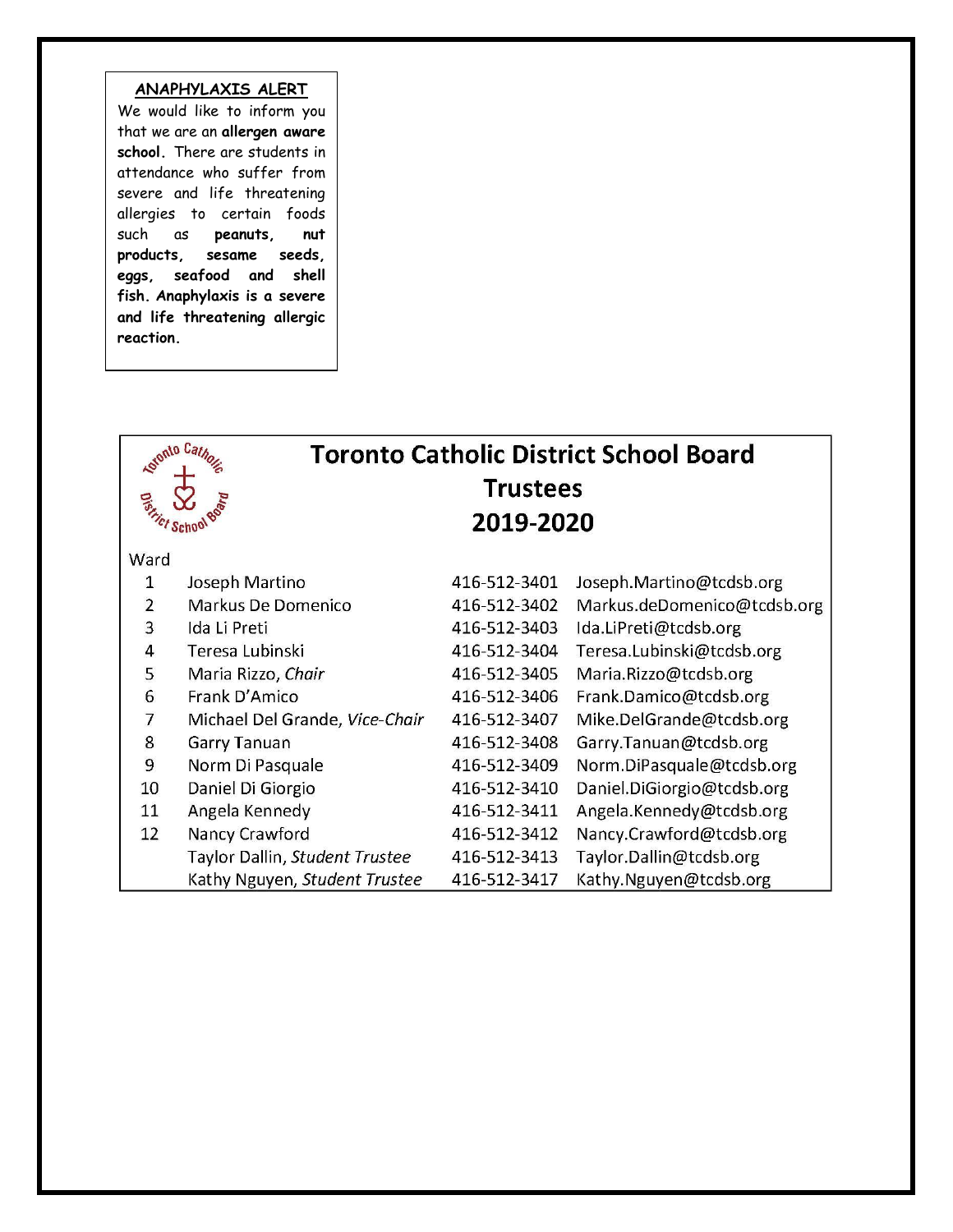### **ANAPHYLAXIS ALERT**

We would like to inform you that we are an **allergen aware school.** There are students in attendance who suffer from severe and life threatening allergies to certain foods such as **peanuts, nut products, sesame seeds, eggs, seafood and shell fish. Anaphylaxis is a severe and life threatening allergic reaction.** 

| otomto Cath<br><b>Toronto Catholic District School Board</b><br><b>Trustees</b><br>2019-2020 |                                |              |                             |
|----------------------------------------------------------------------------------------------|--------------------------------|--------------|-----------------------------|
| Ward                                                                                         |                                |              |                             |
| 1                                                                                            | Joseph Martino                 | 416-512-3401 | Joseph.Martino@tcdsb.org    |
| $\overline{2}$                                                                               | Markus De Domenico             | 416-512-3402 | Markus.deDomenico@tcdsb.org |
| 3                                                                                            | Ida Li Preti                   | 416-512-3403 | Ida.LiPreti@tcdsb.org       |
| $\overline{4}$                                                                               | Teresa Lubinski                | 416-512-3404 | Teresa.Lubinski@tcdsb.org   |
| 5                                                                                            | Maria Rizzo, Chair             | 416-512-3405 | Maria.Rizzo@tcdsb.org       |
| 6                                                                                            | Frank D'Amico                  | 416-512-3406 | Frank.Damico@tcdsb.org      |
| $\overline{7}$                                                                               | Michael Del Grande, Vice-Chair | 416-512-3407 | Mike.DelGrande@tcdsb.org    |
| 8                                                                                            | <b>Garry Tanuan</b>            | 416-512-3408 | Garry.Tanuan@tcdsb.org      |
| 9                                                                                            | Norm Di Pasquale               | 416-512-3409 | Norm.DiPasquale@tcdsb.org   |
| 10                                                                                           | Daniel Di Giorgio              | 416-512-3410 | Daniel.DiGiorgio@tcdsb.org  |
| 11                                                                                           | Angela Kennedy                 | 416-512-3411 | Angela.Kennedy@tcdsb.org    |
| 12                                                                                           | Nancy Crawford                 | 416-512-3412 | Nancy.Crawford@tcdsb.org    |
|                                                                                              | Taylor Dallin, Student Trustee | 416-512-3413 | Taylor.Dallin@tcdsb.org     |
|                                                                                              | Kathy Nguyen, Student Trustee  | 416-512-3417 | Kathy.Nguyen@tcdsb.org      |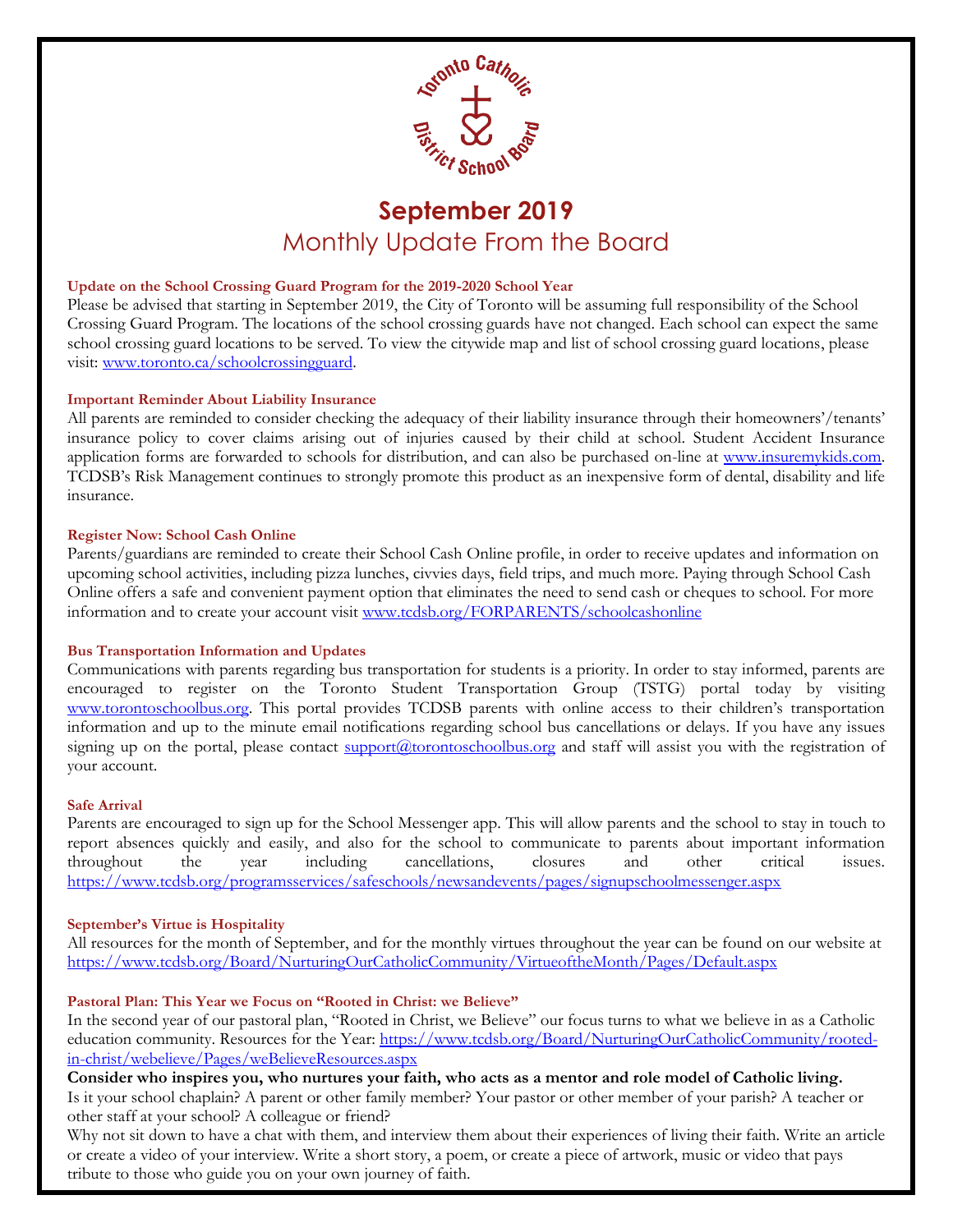

## **September 2019**  Monthly Update From the Board

#### **Update on the School Crossing Guard Program for the 2019-2020 School Year**

Please be advised that starting in September 2019, the City of Toronto will be assuming full responsibility of the School Crossing Guard Program. The locations of the school crossing guards have not changed. Each school can expect the same school crossing guard locations to be served. To view the citywide map and list of school crossing guard locations, please visit: [www.toronto.ca/schoolcrossingguard.](http://www.toronto.ca/schoolcrossingguard)

#### **Important Reminder About Liability Insurance**

All parents are reminded to consider checking the adequacy of their liability insurance through their homeowners'/tenants' insurance policy to cover claims arising out of injuries caused by their child at school. Student Accident Insurance application forms are forwarded to schools for distribution, and can also be purchased on-line at www.insuremykids.com. TCDSB's Risk Management continues to strongly promote this product as an inexpensive form of dental, disability and life insurance.

#### **Register Now: School Cash Online**

Parents/guardians are reminded to create their School Cash Online profile, in order to receive updates and information on upcoming school activities, including pizza lunches, civvies days, field trips, and much more. Paying through School Cash Online offers a safe and convenient payment option that eliminates the need to send cash or cheques to school. For more information and to create your account visit [www.tcdsb.org/FORPARENTS/schoolcashonline](http://www.tcdsb.org/FORPARENTS/schoolcashonline)

#### **Bus Transportation Information and Updates**

Communications with parents regarding bus transportation for students is a priority. In order to stay informed, parents are encouraged to register on the Toronto Student Transportation Group (TSTG) portal today by visiting [www.torontoschoolbus.org](http://www.torontoschoolbus.org/). This portal provides TCDSB parents with online access to their children's transportation information and up to the minute email notifications regarding school bus cancellations or delays. If you have any issues signing up on the portal, please contact [support@torontoschoolbus.org](mailto:support@torontoschoolbus.org) and staff will assist you with the registration of your account.

#### **Safe Arrival**

Parents are encouraged to sign up for the School Messenger app. This will allow parents and the school to stay in touch to report absences quickly and easily, and also for the school to communicate to parents about important information throughout the year including cancellations, closures and other critical issues. <https://www.tcdsb.org/programsservices/safeschools/newsandevents/pages/signupschoolmessenger.aspx>

#### **September's Virtue is Hospitality**

All resources for the month of September, and for the monthly virtues throughout the year can be found on our website at <https://www.tcdsb.org/Board/NurturingOurCatholicCommunity/VirtueoftheMonth/Pages/Default.aspx>

#### **Pastoral Plan: This Year we Focus on "Rooted in Christ: we Believe"**

In the second year of our pastoral plan, "Rooted in Christ, we Believe" our focus turns to what we believe in as a Catholic education community. Resources for the Year: [https://www.tcdsb.org/Board/NurturingOurCatholicCommunity/rooted](https://www.tcdsb.org/Board/NurturingOurCatholicCommunity/rooted-in-christ/webelieve/Pages/weBelieveResources.aspx)[in-christ/webelieve/Pages/weBelieveResources.aspx](https://www.tcdsb.org/Board/NurturingOurCatholicCommunity/rooted-in-christ/webelieve/Pages/weBelieveResources.aspx)

**Consider who inspires you, who nurtures your faith, who acts as a mentor and role model of Catholic living.** Is it your school chaplain? A parent or other family member? Your pastor or other member of your parish? A teacher or other staff at your school? A colleague or friend?

Why not sit down to have a chat with them, and interview them about their experiences of living their faith. Write an article or create a video of your interview. Write a short story, a poem, or create a piece of artwork, music or video that pays tribute to those who guide you on your own journey of faith.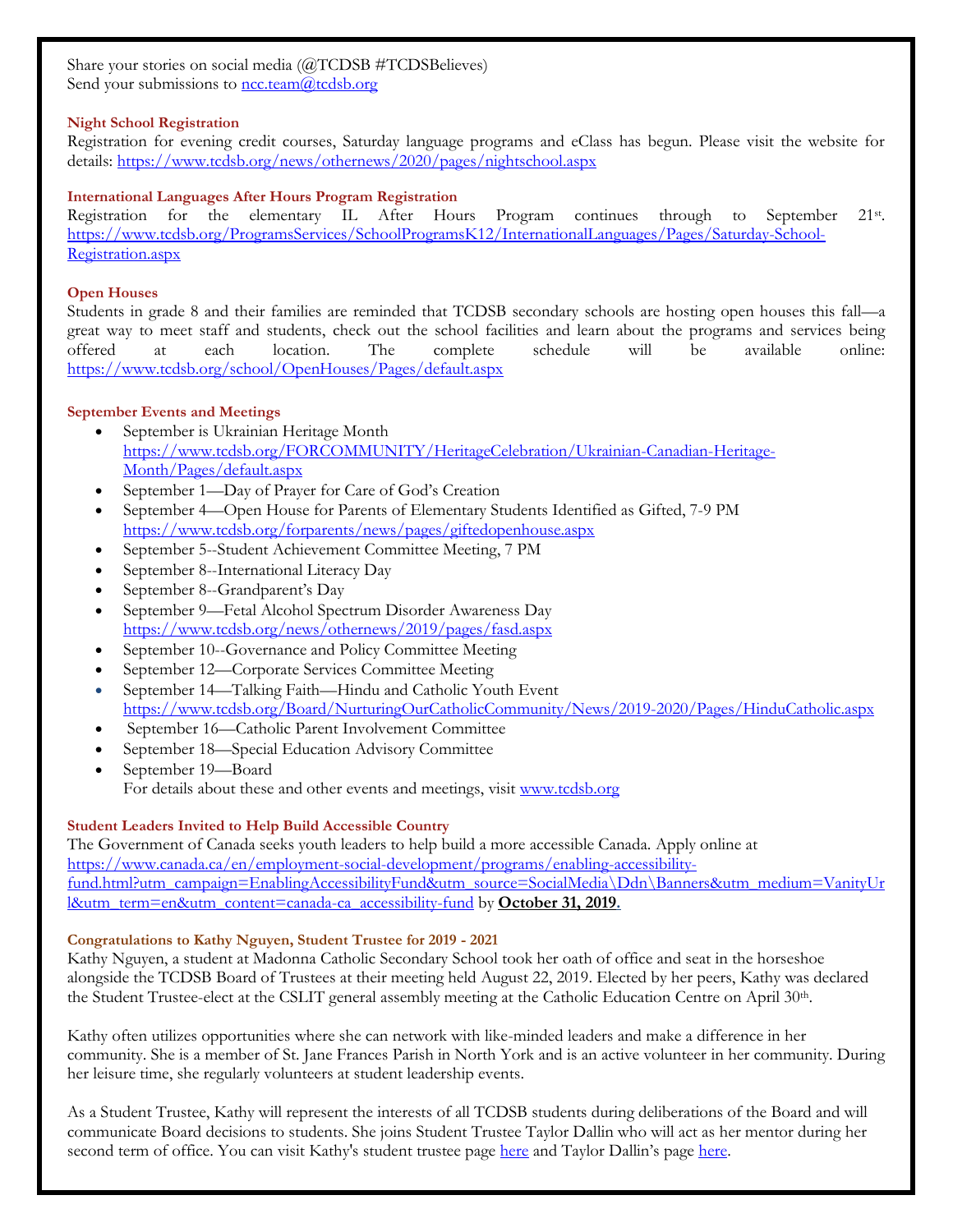Share your stories on social media (@TCDSB #TCDSBelieves) Send your submissions to  $\frac{\text{ncctean}(a)\text{tcdsb.org}}{n}$ 

#### **Night School Registration**

Registration for evening credit courses, Saturday language programs and eClass has begun. Please visit the website for details:<https://www.tcdsb.org/news/othernews/2020/pages/nightschool.aspx>

#### **International Languages After Hours Program Registration**

Registration for the elementary IL After Hours Program continues through to September 21st. [https://www.tcdsb.org/ProgramsServices/SchoolProgramsK12/InternationalLanguages/Pages/Saturday-School-](https://www.tcdsb.org/ProgramsServices/SchoolProgramsK12/InternationalLanguages/Pages/Saturday-School-Registration.aspx)[Registration.aspx](https://www.tcdsb.org/ProgramsServices/SchoolProgramsK12/InternationalLanguages/Pages/Saturday-School-Registration.aspx)

#### **Open Houses**

Students in grade 8 and their families are reminded that TCDSB secondary schools are hosting open houses this fall—a great way to meet staff and students, check out the school facilities and learn about the programs and services being offered at each location. The complete schedule will be available online: <https://www.tcdsb.org/school/OpenHouses/Pages/default.aspx>

#### **September Events and Meetings**

- September is Ukrainian Heritage Month [https://www.tcdsb.org/FORCOMMUNITY/HeritageCelebration/Ukrainian-Canadian-Heritage-](https://www.tcdsb.org/FORCOMMUNITY/HeritageCelebration/Ukrainian-Canadian-Heritage-Month/Pages/default.aspx)[Month/Pages/default.aspx](https://www.tcdsb.org/FORCOMMUNITY/HeritageCelebration/Ukrainian-Canadian-Heritage-Month/Pages/default.aspx)
- September 1—Day of Prayer for Care of God's Creation
- September 4—Open House for Parents of Elementary Students Identified as Gifted, 7-9 PM <https://www.tcdsb.org/forparents/news/pages/giftedopenhouse.aspx>
- September 5--Student Achievement Committee Meeting, 7 PM
- September 8--International Literacy Day
- September 8--Grandparent's Day
- September 9—Fetal Alcohol Spectrum Disorder Awareness Day <https://www.tcdsb.org/news/othernews/2019/pages/fasd.aspx>
- September 10--Governance and Policy Committee Meeting
- September 12—Corporate Services Committee Meeting
- September 14—Talking Faith—Hindu and Catholic Youth Event <https://www.tcdsb.org/Board/NurturingOurCatholicCommunity/News/2019-2020/Pages/HinduCatholic.aspx>
- September 16—Catholic Parent Involvement Committee
- September 18—Special Education Advisory Committee
- September 19-Board For details about these and other events and meetings, visit [www.tcdsb.org](http://www.tcdsb.org/)

#### **Student Leaders Invited to Help Build Accessible Country**

The Government of Canada seeks youth leaders to help build a more accessible Canada. Apply online at [https://www.canada.ca/en/employment-social-development/programs/enabling-accessibility](https://www.canada.ca/en/employment-social-development/programs/enabling-accessibility-fund.html?utm_campaign=EnablingAccessibilityFund&utm_source=SocialMedia/Ddn/Banners&utm_medium=VanityUrl&utm_term=en&utm_content=canada-ca_accessibility-fund)[fund.html?utm\\_campaign=EnablingAccessibilityFund&utm\\_source=SocialMedia\Ddn\Banners&utm\\_medium=VanityUr](https://www.canada.ca/en/employment-social-development/programs/enabling-accessibility-fund.html?utm_campaign=EnablingAccessibilityFund&utm_source=SocialMedia/Ddn/Banners&utm_medium=VanityUrl&utm_term=en&utm_content=canada-ca_accessibility-fund) [l&utm\\_term=en&utm\\_content=canada-ca\\_accessibility-fund](https://www.canada.ca/en/employment-social-development/programs/enabling-accessibility-fund.html?utm_campaign=EnablingAccessibilityFund&utm_source=SocialMedia/Ddn/Banners&utm_medium=VanityUrl&utm_term=en&utm_content=canada-ca_accessibility-fund) by **October 31, 2019.**

#### **Congratulations to Kathy Nguyen, Student Trustee for 2019 - 2021**

Kathy Nguyen, a student at Madonna Catholic Secondary School took her oath of office and seat in the horseshoe alongside the TCDSB Board of Trustees at their meeting held August 22, 2019. Elected by her peers, Kathy was declared the Student Trustee-elect at the CSLIT general assembly meeting at the Catholic Education Centre on April 30<sup>th</sup>.

Kathy often utilizes opportunities where she can network with like-minded leaders and make a difference in her community. She is a member of St. Jane Frances Parish in North York and is an active volunteer in her community. During her leisure time, she regularly volunteers at student leadership events.

As a Student Trustee, Kathy will represent the interests of all TCDSB students during deliberations of the Board and will communicate Board decisions to students. She joins Student Trustee Taylor Dallin who will act as her mentor during her second term of office. You can visit Kathy's student trustee page [here](https://www.tcdsb.org/Board/TrusteesoftheBoard/StudentTrustees/KathyNguyen/Pages/default.aspx) and Taylor Dallin's page [here.](https://www.tcdsb.org/Board/TrusteesoftheBoard/StudentTrustees/TaylorDallin/Pages/default.aspx)